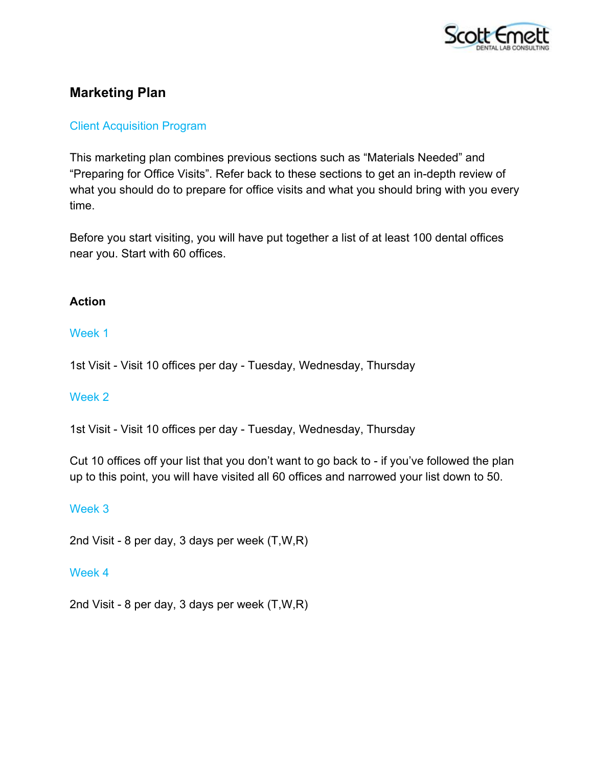

# **Marketing Plan**

### Client Acquisition Program

This marketing plan combines previous sections such as "Materials Needed" and "Preparing for Office Visits". Refer back to these sections to get an in-depth review of what you should do to prepare for office visits and what you should bring with you every time.

Before you start visiting, you will have put together a list of at least 100 dental offices near you. Start with 60 offices.

### **Action**

### Week 1

1st Visit - Visit 10 offices per day - Tuesday, Wednesday, Thursday

### Week 2

1st Visit - Visit 10 offices per day - Tuesday, Wednesday, Thursday

Cut 10 offices off your list that you don't want to go back to - if you've followed the plan up to this point, you will have visited all 60 offices and narrowed your list down to 50.

### Week 3

2nd Visit - 8 per day, 3 days per week (T,W,R)

#### Week 4

2nd Visit - 8 per day, 3 days per week (T,W,R)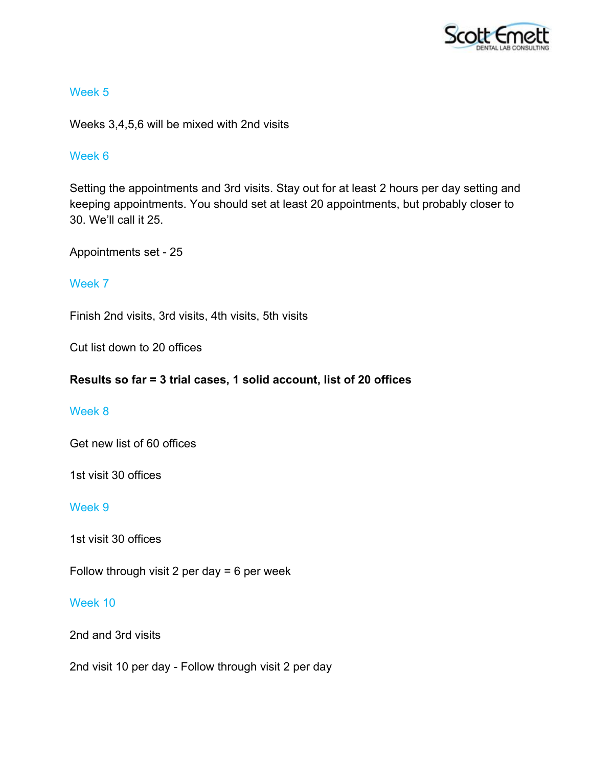

Weeks 3,4,5,6 will be mixed with 2nd visits

### Week 6

Setting the appointments and 3rd visits. Stay out for at least 2 hours per day setting and keeping appointments. You should set at least 20 appointments, but probably closer to 30. We'll call it 25.

Appointments set - 25

### Week 7

Finish 2nd visits, 3rd visits, 4th visits, 5th visits

Cut list down to 20 offices

### **Results so far = 3 trial cases, 1 solid account, list of 20 offices**

### Week 8

Get new list of 60 offices

1st visit 30 offices

### Week 9

1st visit 30 offices

Follow through visit 2 per day = 6 per week

### Week 10

2nd and 3rd visits

2nd visit 10 per day - Follow through visit 2 per day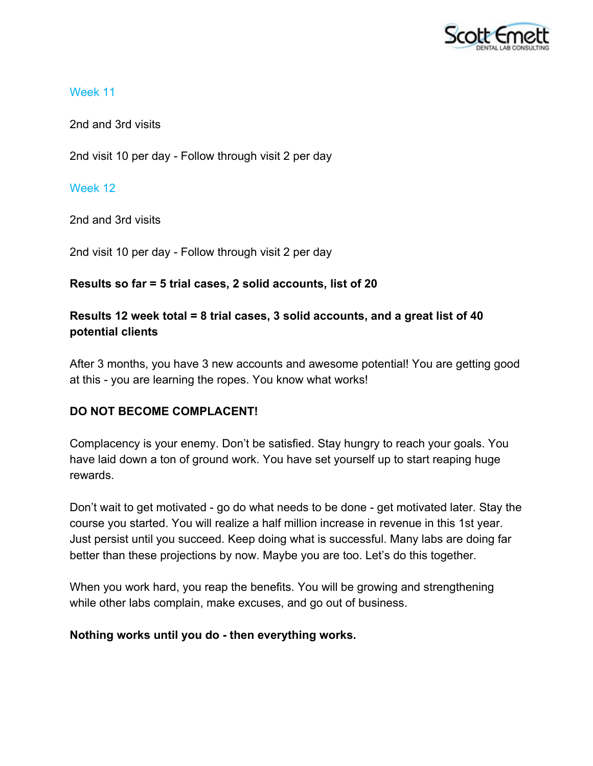

2nd and 3rd visits

2nd visit 10 per day - Follow through visit 2 per day

# Week 12

2nd and 3rd visits

2nd visit 10 per day - Follow through visit 2 per day

# **Results so far = 5 trial cases, 2 solid accounts, list of 20**

# **Results 12 week total = 8 trial cases, 3 solid accounts, and a great list of 40 potential clients**

After 3 months, you have 3 new accounts and awesome potential! You are getting good at this - you are learning the ropes. You know what works!

# **DO NOT BECOME COMPLACENT!**

Complacency is your enemy. Don't be satisfied. Stay hungry to reach your goals. You have laid down a ton of ground work. You have set yourself up to start reaping huge rewards.

Don't wait to get motivated - go do what needs to be done - get motivated later. Stay the course you started. You will realize a half million increase in revenue in this 1st year. Just persist until you succeed. Keep doing what is successful. Many labs are doing far better than these projections by now. Maybe you are too. Let's do this together.

When you work hard, you reap the benefits. You will be growing and strengthening while other labs complain, make excuses, and go out of business.

# **Nothing works until you do - then everything works.**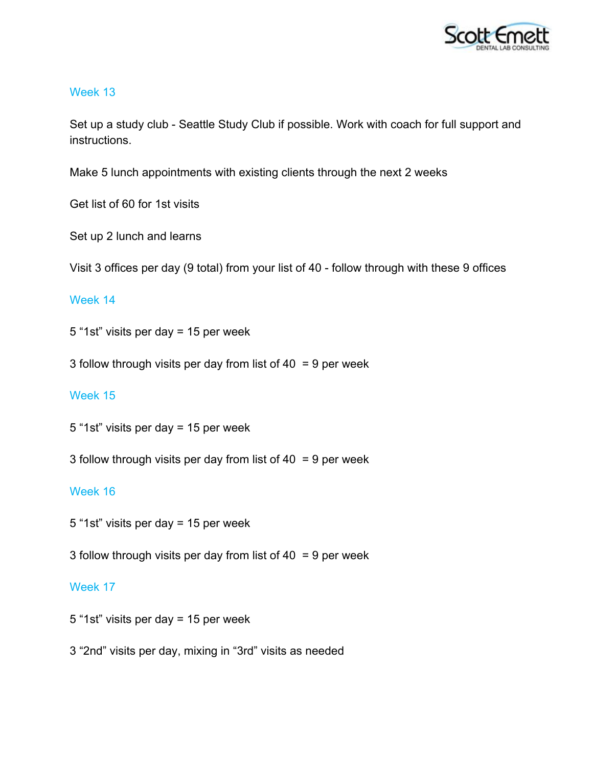

Set up a study club - Seattle Study Club if possible. Work with coach for full support and instructions.

Make 5 lunch appointments with existing clients through the next 2 weeks

Get list of 60 for 1st visits

Set up 2 lunch and learns

Visit 3 offices per day (9 total) from your list of 40 - follow through with these 9 offices

### Week 14

5 "1st" visits per day = 15 per week

3 follow through visits per day from list of 40 = 9 per week

### Week 15

5 "1st" visits per day = 15 per week

3 follow through visits per day from list of 40 = 9 per week

### Week 16

5 "1st" visits per day = 15 per week

3 follow through visits per day from list of 40 = 9 per week

### Week 17

- 5 "1st" visits per day = 15 per week
- 3 "2nd" visits per day, mixing in "3rd" visits as needed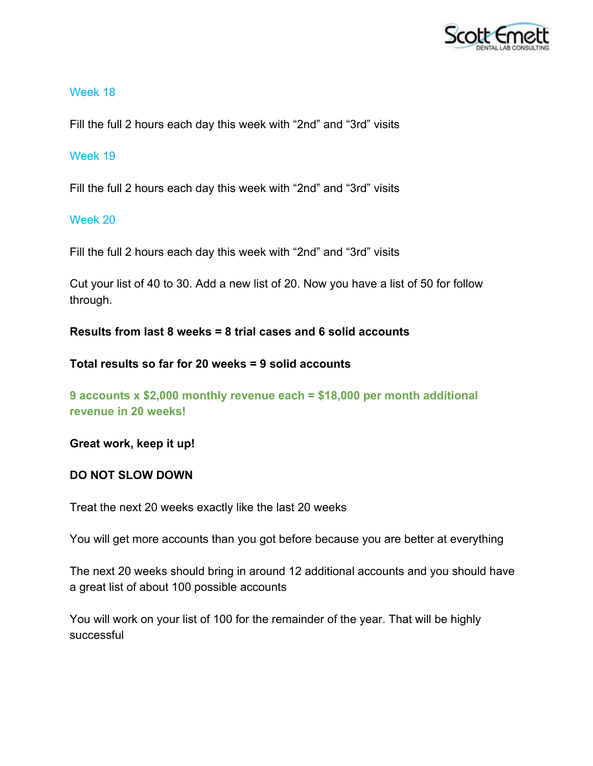

Fill the full 2 hours each day this week with "2nd" and "3rd" visits

### Week 19

Fill the full 2 hours each day this week with "2nd" and "3rd" visits

### Week 20

Fill the full 2 hours each day this week with "2nd" and "3rd" visits

Cut your list of 40 to 30. Add a new list of 20. Now you have a list of 50 for follow through.

**Results from last 8 weeks = 8 trial cases and 6 solid accounts**

**Total results so far for 20 weeks = 9 solid accounts**

**9 accounts x \$2,000 monthly revenue each = \$18,000 per month additional revenue in 20 weeks!**

**Great work, keep it up!**

# **DO NOT SLOW DOWN**

Treat the next 20 weeks exactly like the last 20 weeks

You will get more accounts than you got before because you are better at everything

The next 20 weeks should bring in around 12 additional accounts and you should have a great list of about 100 possible accounts

You will work on your list of 100 for the remainder of the year. That will be highly successful